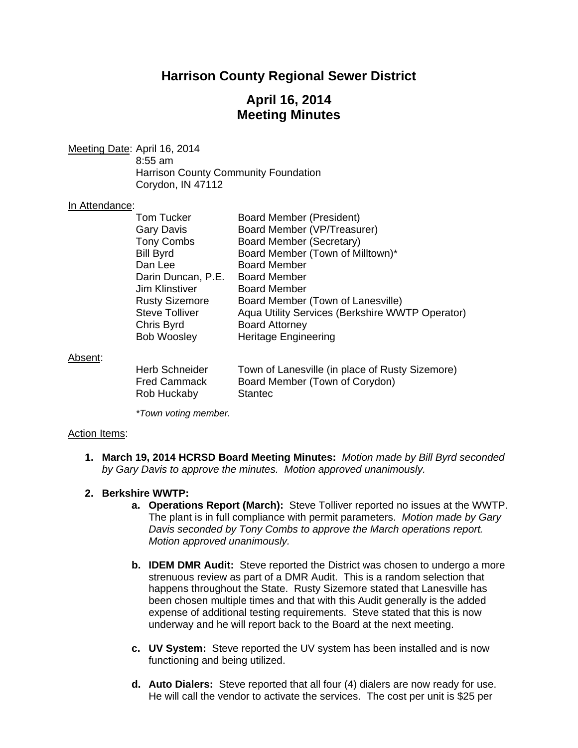# **Harrison County Regional Sewer District**

# **April 16, 2014 Meeting Minutes**

Meeting Date: April 16, 2014 8:55 am Harrison County Community Foundation Corydon, IN 47112

### In Attendance:

| <b>Tom Tucker</b>     | Board Member (President)                        |
|-----------------------|-------------------------------------------------|
| <b>Gary Davis</b>     | Board Member (VP/Treasurer)                     |
| <b>Tony Combs</b>     | Board Member (Secretary)                        |
| <b>Bill Byrd</b>      | Board Member (Town of Milltown)*                |
| Dan Lee               | <b>Board Member</b>                             |
| Darin Duncan, P.E.    | <b>Board Member</b>                             |
| Jim Klinstiver        | <b>Board Member</b>                             |
| <b>Rusty Sizemore</b> | Board Member (Town of Lanesville)               |
| <b>Steve Tolliver</b> | Aqua Utility Services (Berkshire WWTP Operator) |
| Chris Byrd            | <b>Board Attorney</b>                           |
| <b>Bob Woosley</b>    | <b>Heritage Engineering</b>                     |
|                       |                                                 |
|                       |                                                 |
|                       |                                                 |

### Absent:

| <b>Herb Schneider</b> | Town of Lanesville (in place of Rusty Sizemore) |
|-----------------------|-------------------------------------------------|
| <b>Fred Cammack</b>   | Board Member (Town of Corydon)                  |
| Rob Huckaby           | <b>Stantec</b>                                  |

*\*Town voting member.*

### Action Items:

**1. March 19, 2014 HCRSD Board Meeting Minutes:** *Motion made by Bill Byrd seconded by Gary Davis to approve the minutes. Motion approved unanimously.* 

### **2. Berkshire WWTP:**

- **a. Operations Report (March):** Steve Tolliver reported no issues at the WWTP. The plant is in full compliance with permit parameters. *Motion made by Gary Davis seconded by Tony Combs to approve the March operations report. Motion approved unanimously.*
- **b. IDEM DMR Audit:** Steve reported the District was chosen to undergo a more strenuous review as part of a DMR Audit. This is a random selection that happens throughout the State. Rusty Sizemore stated that Lanesville has been chosen multiple times and that with this Audit generally is the added expense of additional testing requirements. Steve stated that this is now underway and he will report back to the Board at the next meeting.
- **c. UV System:** Steve reported the UV system has been installed and is now functioning and being utilized.
- **d. Auto Dialers:** Steve reported that all four (4) dialers are now ready for use. He will call the vendor to activate the services. The cost per unit is \$25 per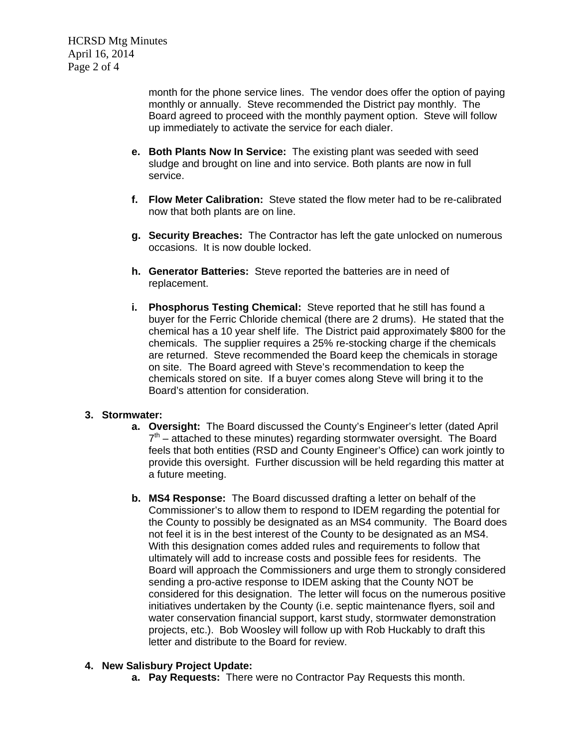month for the phone service lines. The vendor does offer the option of paying monthly or annually. Steve recommended the District pay monthly. The Board agreed to proceed with the monthly payment option. Steve will follow up immediately to activate the service for each dialer.

- **e. Both Plants Now In Service:** The existing plant was seeded with seed sludge and brought on line and into service. Both plants are now in full service.
- **f. Flow Meter Calibration:** Steve stated the flow meter had to be re-calibrated now that both plants are on line.
- **g. Security Breaches:** The Contractor has left the gate unlocked on numerous occasions. It is now double locked.
- **h. Generator Batteries:** Steve reported the batteries are in need of replacement.
- **i. Phosphorus Testing Chemical:** Steve reported that he still has found a buyer for the Ferric Chloride chemical (there are 2 drums). He stated that the chemical has a 10 year shelf life. The District paid approximately \$800 for the chemicals. The supplier requires a 25% re-stocking charge if the chemicals are returned. Steve recommended the Board keep the chemicals in storage on site. The Board agreed with Steve's recommendation to keep the chemicals stored on site. If a buyer comes along Steve will bring it to the Board's attention for consideration.

## **3. Stormwater:**

- **a. Oversight:** The Board discussed the County's Engineer's letter (dated April  $7<sup>th</sup>$  – attached to these minutes) regarding stormwater oversight. The Board feels that both entities (RSD and County Engineer's Office) can work jointly to provide this oversight. Further discussion will be held regarding this matter at a future meeting.
- **b. MS4 Response:** The Board discussed drafting a letter on behalf of the Commissioner's to allow them to respond to IDEM regarding the potential for the County to possibly be designated as an MS4 community. The Board does not feel it is in the best interest of the County to be designated as an MS4. With this designation comes added rules and requirements to follow that ultimately will add to increase costs and possible fees for residents. The Board will approach the Commissioners and urge them to strongly considered sending a pro-active response to IDEM asking that the County NOT be considered for this designation. The letter will focus on the numerous positive initiatives undertaken by the County (i.e. septic maintenance flyers, soil and water conservation financial support, karst study, stormwater demonstration projects, etc.). Bob Woosley will follow up with Rob Huckably to draft this letter and distribute to the Board for review.

## **4. New Salisbury Project Update:**

**a. Pay Requests:** There were no Contractor Pay Requests this month.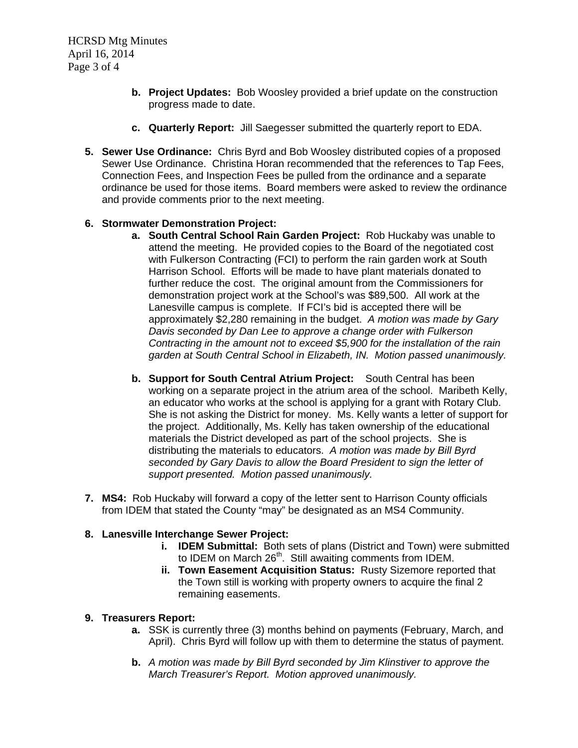- **b. Project Updates:** Bob Woosley provided a brief update on the construction progress made to date.
- **c. Quarterly Report:** Jill Saegesser submitted the quarterly report to EDA.
- **5. Sewer Use Ordinance:** Chris Byrd and Bob Woosley distributed copies of a proposed Sewer Use Ordinance. Christina Horan recommended that the references to Tap Fees, Connection Fees, and Inspection Fees be pulled from the ordinance and a separate ordinance be used for those items. Board members were asked to review the ordinance and provide comments prior to the next meeting.

# **6. Stormwater Demonstration Project:**

- **a. South Central School Rain Garden Project:** Rob Huckaby was unable to attend the meeting. He provided copies to the Board of the negotiated cost with Fulkerson Contracting (FCI) to perform the rain garden work at South Harrison School. Efforts will be made to have plant materials donated to further reduce the cost. The original amount from the Commissioners for demonstration project work at the School's was \$89,500. All work at the Lanesville campus is complete. If FCI's bid is accepted there will be approximately \$2,280 remaining in the budget. *A motion was made by Gary Davis seconded by Dan Lee to approve a change order with Fulkerson Contracting in the amount not to exceed \$5,900 for the installation of the rain garden at South Central School in Elizabeth, IN. Motion passed unanimously.*
- **b. Support for South Central Atrium Project:** South Central has been working on a separate project in the atrium area of the school. Maribeth Kelly, an educator who works at the school is applying for a grant with Rotary Club. She is not asking the District for money. Ms. Kelly wants a letter of support for the project. Additionally, Ms. Kelly has taken ownership of the educational materials the District developed as part of the school projects. She is distributing the materials to educators. *A motion was made by Bill Byrd seconded by Gary Davis to allow the Board President to sign the letter of support presented. Motion passed unanimously.*
- **7. MS4:**Rob Huckaby will forward a copy of the letter sent to Harrison County officials from IDEM that stated the County "may" be designated as an MS4 Community.

## **8. Lanesville Interchange Sewer Project:**

- **i. IDEM Submittal:** Both sets of plans (District and Town) were submitted to IDEM on March 26<sup>th</sup>. Still awaiting comments from IDEM.
- **ii. Town Easement Acquisition Status:** Rusty Sizemore reported that the Town still is working with property owners to acquire the final 2 remaining easements.

## **9. Treasurers Report:**

- **a.** SSK is currently three (3) months behind on payments (February, March, and April). Chris Byrd will follow up with them to determine the status of payment.
- **b.** *A motion was made by Bill Byrd seconded by Jim Klinstiver to approve the March Treasurer's Report. Motion approved unanimously.*